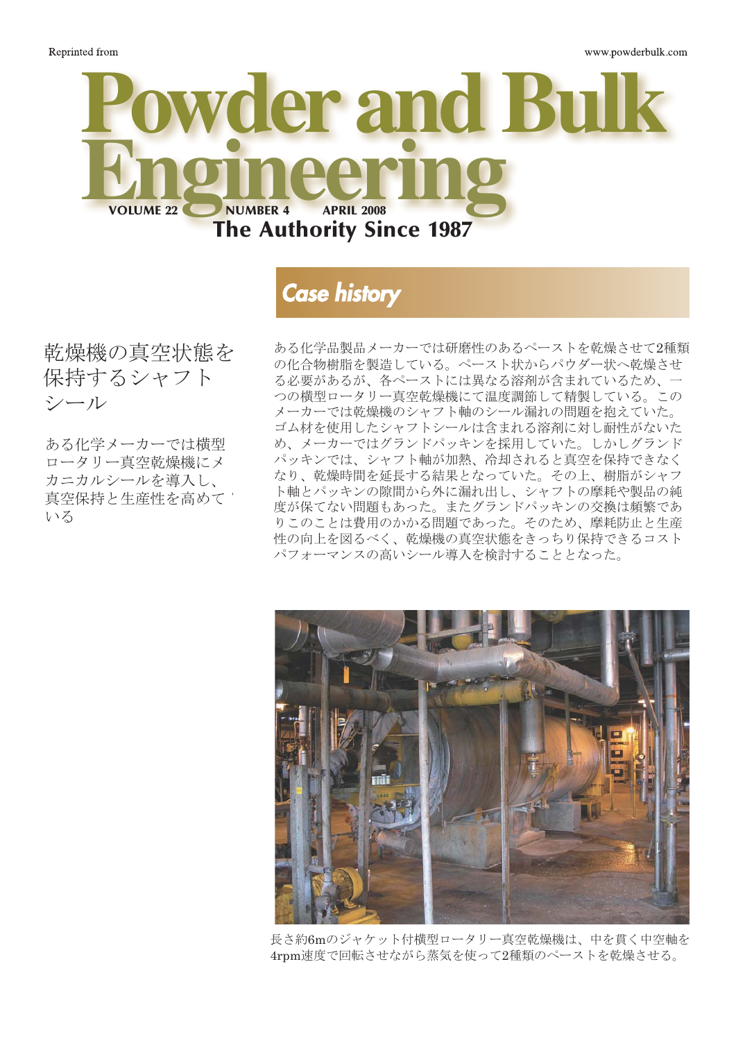

# **Case history**

乾燥機の真空状態を<br>但歩士そここ 7-1 dryer's シール 保持するシャフト

ある化学メーカーでは横型 ス・スパン<br>真空保持と生産性を高めて 、エルロー ニムエロー Simi<br>Nス horizontal rotary vacuum ロータリー真空乾燥機にメ カニカルシールを導入し、 いる

ある化学品製品メーカーでは研磨<br>の化合物樹脂を製造している。ペ<br>る必要があるが、各ペーストには<br>くの壊型ワータリー真空乾燥燃に の化合物樹脂を製造している。ペースト状からパウダー状へ乾燥させ る必要があるが、各ペーストには異なる溶剤が含まれているため、一 **つの横型ロータリー真空乾燥機にて温度調節して精製している。この** メーカーでは乾燥機のシャフト軸のシール漏れの問題を抱えていた。 - イン・マンのコン・マン・ロック - 7.5% - 7.5% - 7.5% - 7.5% - 7.5% - 7.5% - 7.5% - 7.5% - 7.5% - 7.5% - 7.5% - 7.<br>ブム材を使用したシャフトシールは含まれる溶剤に対し耐性がないた ー・^^ こに、^; 5 に・ / ^ i ・ / ^ i same save shanken, 5 many st / に ○、 / / / 、 / 、 / / / / / > / > → ) → 。 → / / ~ / ~ / ~ / ~ / ~ / ~ / / / / ~ /<br>パッキンでは、シャフト軸が加熱、冷却されると真空を保持できなく ~フィンでは、フィット#Paypane、Havionのこと会主と休用でさなく<br>なり、乾燥時間を延長する結果となっていた。その上、樹脂がシャフ はり、乳床時間を延良チ句帽本とはつていた。ての工、倒眉のマキノ<br>ま軸もパスキンの階頭かさかけ混み出し、マルフトの麻料効制且の姉 下軸とハッキンの麻間から介に瀰れ出し、シャッドの事れ、表面の施<br>度が保てない問題もあった。またグランドパッキンの交換は頻繁であ 及が休くない 旧咫 ひのつに。 よに<br>カテのとし<del>い車</del>甲のふふて問時 りこのことは費用のかかる問題であった。そのため、摩耗防止と生産 性の向上を図るべく、乾燥機の真空状態をきっちり保持できるコスト<br>- <sup>^</sup> パフォーマンスの高いシール導入を検討することとなった。 ある化学品製品メーカーでは研磨性のあるペーストを乾燥させて2種類 ト軸とパッキンの隙間から外に漏れ出し、シャフトの摩耗や製品の純<br>座が但てかい門頭とも、さっさもだ言いだ。。さいの方換は版標でも



**The 20-foot-long jacketed horizontal rotary dryer dries the two pastes** 長さ約6mのジャケット付横型ロータリー真空乾燥機は、中を貫く中空軸を **using steam, which passes through a horizontal, hollow shaft rotating at** 4rpm速度で回転させながら蒸気を使って2種類のペーストを乾燥させる。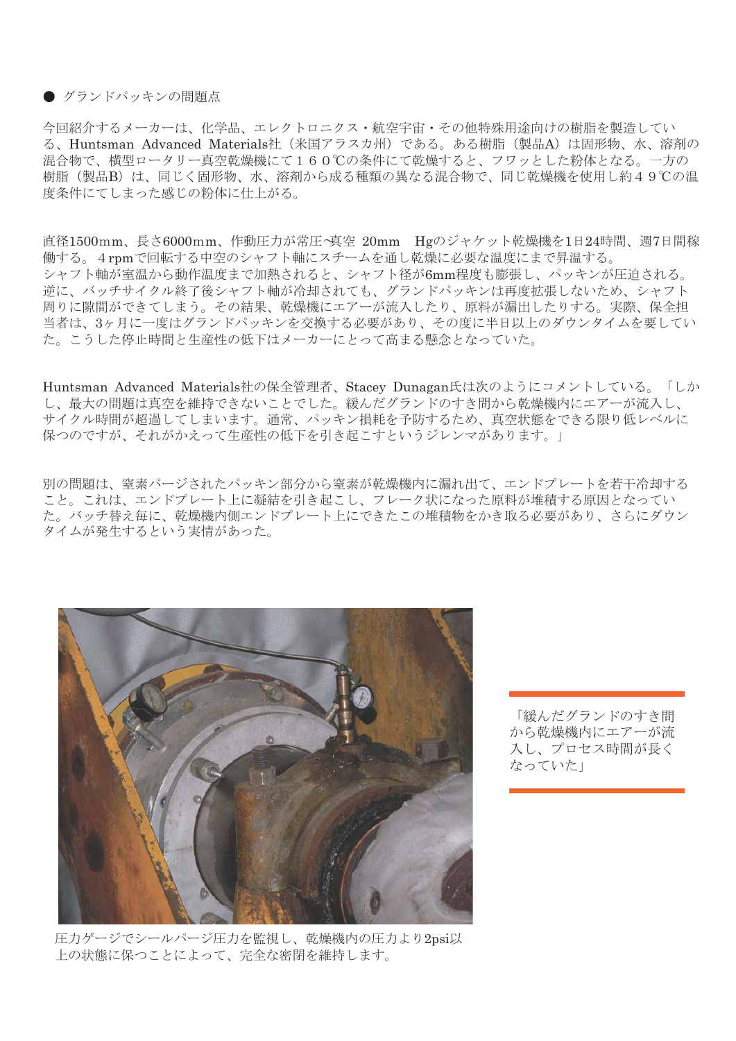#### ● グランドパッキンの問題点

今回紹介するメーカーは、化学品、エレクトロニクス·航空宇宙·その他特殊用途向けの樹脂を製造してい る、Huntsman Advanced Materials社(米国アラスカ州)である。ある樹脂(製品A)は固形物、水、溶剤の 混合物で、横型ロータリー真空乾燥機にて160℃の条件にて乾燥すると、フワッとした粉体となる。一方の 日 32 〜 「以工」 - フラー スエ 10派[3] - 〜1000つ米||1-〜13派 フ 5〜<br>昨(制品R)け - 同じく国形物 - 水 - 浓剤から成ろ種箱の異かろ混合物 而 (公品<del>D</del>) iS、iFio 、固形 iS、<br>久研にてしまった咸じの¥公休に仕 度条件にてしまった感じの粉体に仕上がる。 樹脂(製品B)は、同じく固形物、水、溶剤から成る種類の異なる混合物で、同じ乾燥機を使用し約49℃の温<br>度冬化にてしまった感じの料体に仕上がる  $\sim$   $\sim$   $\sim$ 

 $\frac{1}{20}$   $\frac{1}{20}$   $\frac{1}{20}$   $\frac{1}{20}$   $\frac{1}{20}$   $\frac{1}{20}$   $\frac{1}{20}$   $\frac{1}{20}$   $\frac{1}{20}$   $\frac{1}{20}$   $\frac{1}{20}$   $\frac{1}{20}$   $\frac{1}{20}$   $\frac{1}{20}$   $\frac{1}{20}$   $\frac{1}{20}$   $\frac{1}{20}$   $\frac{1}{20}$   $\frac{1}{20}$   $\frac{1}{20}$  直径1500mm、長さ6000mm、作動圧力が常圧~真空 20mm Hgのジャケット乾燥機を1日24時間、週7日間稼 ン・フィー<sub>神が主価が</sub>つ動作価度よて加熱されると、シャフィ屋がomm程度 o減成し、バフィンが圧迫される。<br>逆に、バッチサイクル終了後シャフト軸が冷却されても、グランドパッキンは再度拡張しないため、シャフト 〜に、 ファット・ハード まい トット 語。出来とれて D、 ファン ト・ フィン はけ反過などは、 につ、 フィット<br>周りに隙間ができてしまう。その結果、乾燥機にエアーが流入したり、原料が漏出したりする。実際、保全担 week, is 5 feet in diameter, 20 feet suck air in from the outside, making 当者は、3ヶ月に一度はグランドパッキンを交換する必要があり、その度に半日以上のダウンタイムを要してい 日16、97万10 反16フファーク<br>- こうしち信に時間し出産性の低 14 psig to 20mm Hg vacuum. Drying couldn't pull full vacuum," says tight, the vacuum would suck air in 働する。4rpmで回転する中空のシャフト軸にスチームを通し乾燥に必要な温度にまで昇温する。 <sub>あテる。→</sub>rpm <sub>マ曲神テ</sub>。<sub>「王ジン トット #fにハッニコと通じ#ææに名女は温度によて升温テる。<br>シャフト軸が室温から動作温度まで加熱されると、シャフト径が6mm程度も膨張し、パッキンが圧迫される。</sub> v e 文形 9 32 女にのリ、 U V 反<br>トー・トーにし - オキャ 軽ム L J た。こうした停止時間と生産性の低下はメーカーにとって高まる懸念となっていた。

 $t \sim 1.5$  $\lim_{n\to\infty}$  and  $\lim_{n\to\infty}$  the length of length of length  $\lim_{n\to\infty}$ し、最大の問題は真空を維持できないことでした。緩んだグランドのすき間から乾燥機内にエアーが流入し、 from failing, and this substantially de-Huntsman Advanced Materials社の保全管理者、Stacey Dunagan氏は次のようにコメントしている。「しか an:<br>D低下を引き起こすというジレン× 保つのですが、それがかえって生産性の低下を引き起こすというジレンマがあります。」 サイクル時間が超過してしまいます。通常、パッキン損耗を予防するため、真空状態をできる限り低レベルに

the shaft's diameter grows by up to 1 ⁄4 into the dryer, slightly cooling the end 別の問題は、窒素パージされたパッキン部分から窒素が乾燥機内に漏れ出て、エンドプレートを若干冷却する V川旭は、至糸ハニンされにハツイン前刀かり至糸か配珠機PNに佩布に<br>セートカけーテンドプレートレビ溶体を引き起こし、フレーカ中にわ U。 UAUは、エンコンレーコエに<br>- バハチ基ウ伝に - 乾燥燃出側ェ o イソノ 官ん毋に、私保恢び関士<br>フェボマルナス いぃる虫桂ぶぇ タイムが発生するという実情があった。 こと。これは、エンドプレート上に凝結を引き起こし、フレーク状になった原料が堆積する原因となってい た。バッチ替え毎に、乾燥機内側エンドプレート上にできたこの堆積物をかき取る必要があり、さらにダウン



圧力ゲージでシールパージ圧力を監視し、乾燥機内の圧力より2psi以 **psi above the dryer's pressure in order to ensure and maintain a perfect** 上の状態に保つことによって、完全な密閉を維持します。

「緩んだグランドのすき間 から乾燥機内にエアーが流 入し、プロセス時間が長く なっていた」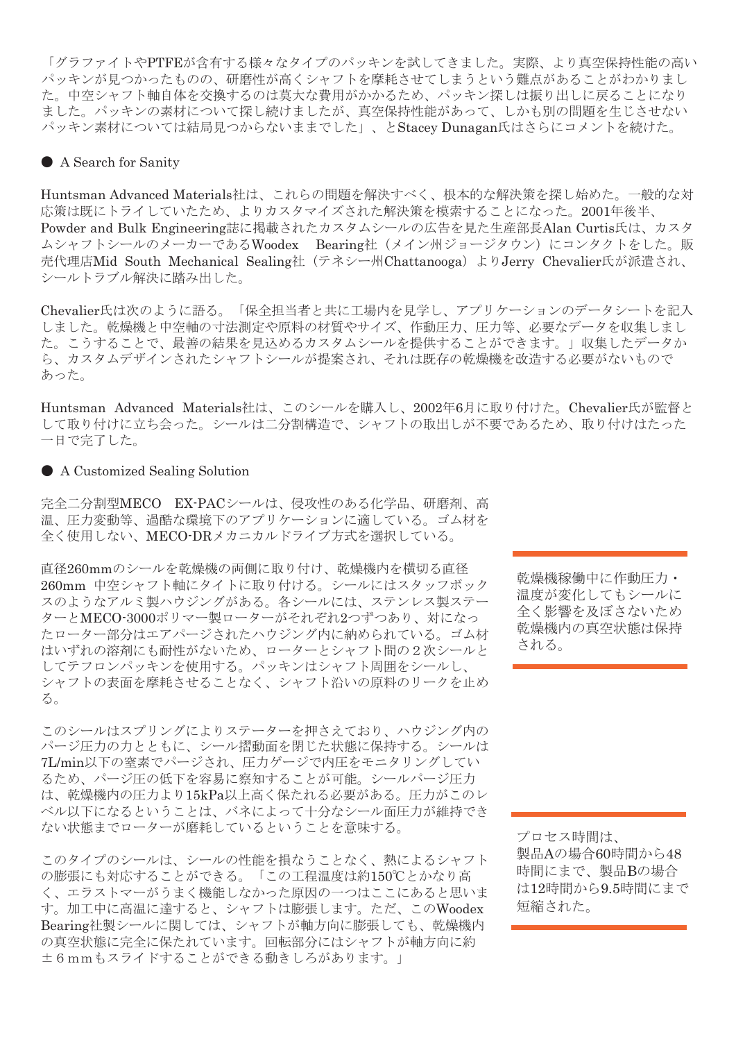パッキンが見つかったものの、研磨性が高くシャフトを摩耗させてしまうという難点があることがわかりまし た。中空シャフト軸自体を交換するのは莫大な費用がかかるため、パッキン探しは振り出しに戻ることになり ました。パッキンの素材について探し続けましたが、真空保持性能があって、しかも別の問題を生じさせない パッキン素材については結局見つからないままでした」、とStacey Dunagan氏はさらにコメントを続けた。 「グラファイトやPTFEが含有する様々なタイプのパッキンを試してきました。実際、より真空保持性能の高い

### $\mathbf{M}^{\mathcal{A}}$  tried different types of packing,  $\mathbf{M}^{\mathcal{A}}$ ● A Search for Sanity

Dunagan. "And we did actually find a untsman Advanced Materials社は、これらの問題を解決すべく、根本的な解決策を探し始めた。一般的な<mark>求</mark> vacuum better than the others, but it are suitable for applications with ag-process has fairly high temperatures, 応策は既にトライしていたため、よりカスタマイズされた解決策を模索することになった。2001年後半、 Absertes Sute To The CV ににの、まりがパクトーバといった。<br>Powder and Bulk Engineering誌に掲載されたカスタムシールの広告を見た生産部長Alan Curtis氏は、カスタ wder and Dunk Engineeringstote Panage これにメバッムファルの風日をテ<br>シャフトシールのメーカーであるWoodex Bearing社(メイン州ジョ 代理店Mid South Mechanical Sealing社 (テネシー州Chattanooga) よりJerry Chevalier氏が派遣され、 . . \_\_, .<br>— ルトラブル解決に踏み出した  $\cdots$ ,  $\cdots$ ,  $\cdots$ ,  $\cdots$ ,  $\cdots$ ムシャフトシールのメーカーであるWoodex Bearing社 (メイン州ジョージタウン)にコンタクトをした。販 Huntsman Advanced Materials社は、これらの問題を解決すべく、根本的な解決策を探し始めた。一般的な対  $\sum_{i=1}^{\infty}$  one ration temperatures are  $\sum_{i=1}^{\infty}$ 売代理店Mid South Mechanical Sealing社(テネシー州Chattanooga)よりJerry Chevalier氏が派遣され、 シールトラブル解決に踏み出した。

Chevalier氏は次のように語る。「保全担当者と共に工場内を見学し、アプリケーションのデータシートを記入 to hold van the dryer with development with development with development with the development with the developm<br>The development without video with the development with the development with the development with the developm よしに。 ��深惙と甲空軸の<br>- こことスコーニー具立の **あった。** 巴ヨ伯C共に工物内を兄子し、ノノリクニンヨンのノニクンニトを記パ<br>>固料の材質めサイズ 佐動圧力 圧力笑 立面かデータを加焦しまし ||小11||11||11||11||11||11||11||11||11|<br>||わてもフカミシ||コミ根||出土てき twのダバクムシールを犯因させる<br>ここさぶ坦安され、スカル町左の故 ら、カスタムデザインされたシャフトシールが提案され、それは既存の乾燥機を改造する必要がないもので<br>・・・ しました。乾燥機と中空軸の寸法測定や原料の材質やサイズ、作動圧力、圧力等、必要なデータを収集しまし た。こうすることで、最善の結果を見込めるカスタムシールを提供することができます。」収集したデータか

 $\begin{bmatrix} 1 & 0 & 0 \\ 0 & 0 & 1 \end{bmatrix}$  $\mu$ pang decided to  $\alpha$  and  $\alpha$  change. して取り付けに立ち会った。シールは二分割構造で、シャフトの取出しが不要であるため、取り付けはたった 一日で完了した。 similar to a stuffing box. Each seal Huntsman Advanced Materials社は、このシールを購入し、2002年6月に取り付けた。Chevalier氏が監督と

### realized it would have to find a cus- $\bullet$  A Customized Sealing Solution

完全二分割型MECO EX-PACシールは、侵攻性のある化学品、研磨剤、高 温、圧力変動等、過酷な環境下のアプリケーションに適している。ゴム材を contacted the seal supplier, Woodex packing wraps around the shaft, pro $t \times t$  is  $\infty$  above and  $\infty$ 全く使用しない、MECO-DRメカニカルドライブ方式を選択している。

直径260mmのシールを乾燥機の両側に取り付け、乾燥機内を横切る直径 <sub>巴住200mm</sub>,ップ『ア<sub>とも3米</sub>成の同間に取り付け。<sub>特徴</sub>成行を使める區位<br>260mm 中空シャフト軸にタイトに取り付ける。シールにはスタッフボック <u>hoomm イエン・フィ #ites イイに</u>なっけり sole アルにはバッファボック<br>スのようなアルミ製ハウジングがある。各シールには、ステンレス製ステー リム ノムノ パ ヽ衣´ 'ソ ノ ノ ノ パw)<br>- 「 、 MECO\_9000-1゚ !! ー. \_ 制 ー. ターとMECO-3000ポリマー製ローターがそれぞれ2つずつあり、対になっ たローター部分はエアパージされたハウジング内に納められている。ゴム材 はいずれの溶剤にも耐性がないため、ローターとシャフト間の2次シールと  $\blacksquare$ はいりれの役別にも耐圧がないにめ、ロークーとシャクト間の2次クール<br>してテフロンパッキンを使用する。パッキンはシャフト周囲をシールし、 コンはシャノエ周囲でシールし、<br>ミハマトがいの固料のH---カなi don't affect the seals, allowing the いへ シャフトの表面を摩耗させることなく、シャフト沿いの原料のリークを止め<br><sup>ェ</sup> る。

このシールはスプリングによりステーターを押さえており、ハウジング内の こって、ハースバック・フームのブルック、これこたではついっついっしょう。<br>パージ圧力の力とともに、シール摺動面を閉じた状態に保持する。シールは <sub>、</sub><br>アルTL/min以下の窒素でパージされ、圧力ゲージで内圧をモニタリングしてい ing the material type and size, operat-れ、圧力ゲージでモニタリングしているため、圧力損失を簡易に察知する 品、研磨剤、高温、 るため、パージ圧の低下を容易に察知することが可能。シールパージ圧力 にW、ハーン圧V/ELI\*と谷勿に奈<br>- お想機声の圧声をMari Pressure 。シーン、シーンはインコンにかけるとこと。<br>は、乾燥機内の圧力より15kPa以上高く保たれる必要がある。圧力がこのレ べル以下になるということは、バネによって十分なシール面圧力が維持でき ない状態までローターが磨耗しているということを意味する。 which hold the seal faces closed, and the seal faces constraints of  $\mathcal{A}$ 

このタイプのシールは、シールの性能を損なうことなく、熱によるシャフト こつのコンの・レールへ・・・のつに記さなよクロロ ぷく、熟による・1つ ○応法に ○内心 ,こことが てどる。 「この工程温度は約1500℃とかなり間<br>く、エラストマーがうまく機能しなかった原因の一つはここにあると思いま 、ニノハドヾ゠かフよヽ機能しなかった脉因の「つはここにめると恐v<br>、加工中に高温に達すると、シャフトは膨張します。ただ、このWood の真空状態に完全に保たれています。回転部分にはシャフトが軸方向に約 ±6mmもスライドすることができる動きしろがあります。」 す。加工中に高温に達すると、シャフトは膨張します。ただ、このWoodex<br>ア Bearing社製シールに関しては、シャフトが軸方向に膨張しても、乾燥機内

全く影響を及ぼさないため 乾燥機内の真空状態は保持 dard runout tolerance of 6 millimeters される。  $\sim$   $\sim$   $\sim$   $\sim$  0 乾燥機稼働中に作動圧力・ 温度が変化してもシールに

Changes in process pressure and tem-

stance, because the seals easily handle プロセス時間は、 製品Aの場合60時間から48 時間にまで、製品Bの場合 は12時間から9.5時間にまで 。<br>短縮された。  $\frac{1}{2}$ 

tend the seal from the shaft and further

noticed significant benefits. For in-